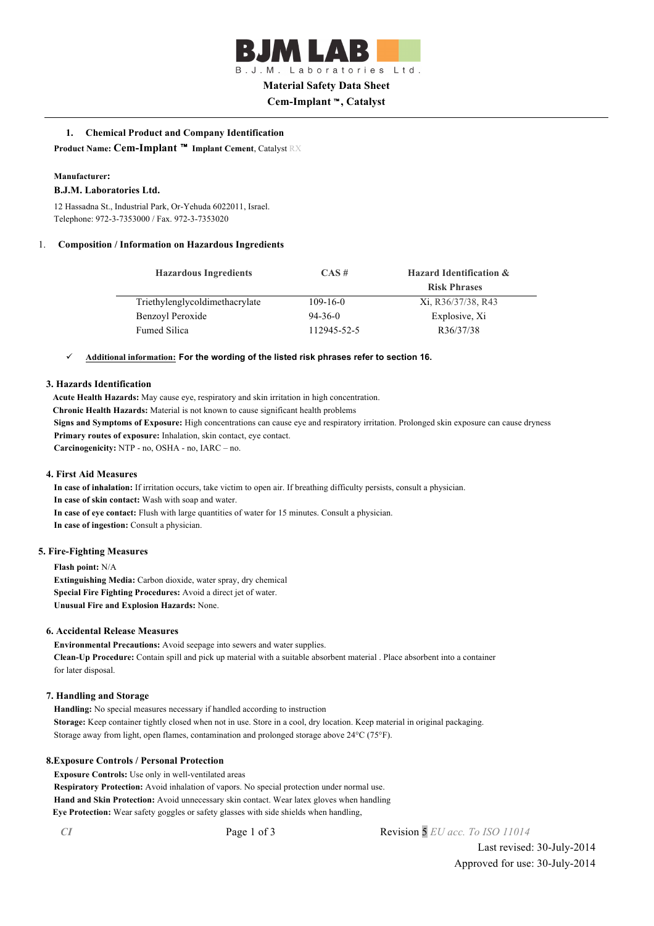

B.J.M. Laboratories Ltd.

# **Material Safety Data Sheet**

**Cem-Implant** ™**, Catalyst**

# **1. Chemical Product and Company Identification**

**Product Name: Cem-Implant** ™ **Implant Cement**, Catalyst RX

#### **Manufacturer:**

#### **B.J.M. Laboratories Ltd.**

12 Hassadna St., Industrial Park, Or-Yehuda 6022011, Israel. Telephone: 972-3-7353000 / Fax. 972-3-7353020

#### 1. **Composition / Information on Hazardous Ingredients**

| <b>Hazardous Ingredients</b>   | CAS#           | <b>Hazard Identification &amp;</b> |
|--------------------------------|----------------|------------------------------------|
|                                |                | <b>Risk Phrases</b>                |
| Triethylenglycoldimethacrylate | $109 - 16 - 0$ | Xi, R36/37/38, R43                 |
| Benzoyl Peroxide               | $94-36-0$      | Explosive, Xi                      |
| <b>Fumed Silica</b>            | 112945-52-5    | R36/37/38                          |

#### ü **Additional information: For the wording of the listed risk phrases refer to section 16.**

## **3. Hazards Identification**

**Acute Health Hazards:** May cause eye, respiratory and skin irritation in high concentration.

**Chronic Health Hazards:** Material is not known to cause significant health problems

**Signs and Symptoms of Exposure:** High concentrations can cause eye and respiratory irritation. Prolonged skin exposure can cause dryness **Primary routes of exposure:** Inhalation, skin contact, eye contact.

**Carcinogenicity:** NTP - no, OSHA - no, IARC – no.

#### **4. First Aid Measures**

**In case of inhalation:** If irritation occurs, take victim to open air. If breathing difficulty persists, consult a physician. **In case of skin contact:** Wash with soap and water.

**In case of eye contact:** Flush with large quantities of water for 15 minutes. Consult a physician.

**In case of ingestion:** Consult a physician.

#### **5. Fire-Fighting Measures**

**Flash point:** N/A **Extinguishing Media:** Carbon dioxide, water spray, dry chemical **Special Fire Fighting Procedures:** Avoid a direct jet of water. **Unusual Fire and Explosion Hazards:** None.

#### **6. Accidental Release Measures**

**Environmental Precautions:** Avoid seepage into sewers and water supplies. **Clean-Up Procedure:** Contain spill and pick up material with a suitable absorbent material . Place absorbent into a container for later disposal.

#### **7. Handling and Storage**

**Handling:** No special measures necessary if handled according to instruction **Storage:** Keep container tightly closed when not in use. Store in a cool, dry location. Keep material in original packaging. Storage away from light, open flames, contamination and prolonged storage above 24°C (75°F).

#### **8.Exposure Controls / Personal Protection**

**Exposure Controls:** Use only in well-ventilated areas

**Respiratory Protection:** Avoid inhalation of vapors. No special protection under normal use. **Hand and Skin Protection:** Avoid unnecessary skin contact. Wear latex gloves when handling **Eye Protection:** Wear safety goggles or safety glasses with side shields when handling,

*CI* Page 1 of 3 Revision 5 *EU acc. To ISO 11014*

Last revised: 30-July-2014 Approved for use: 30-July-2014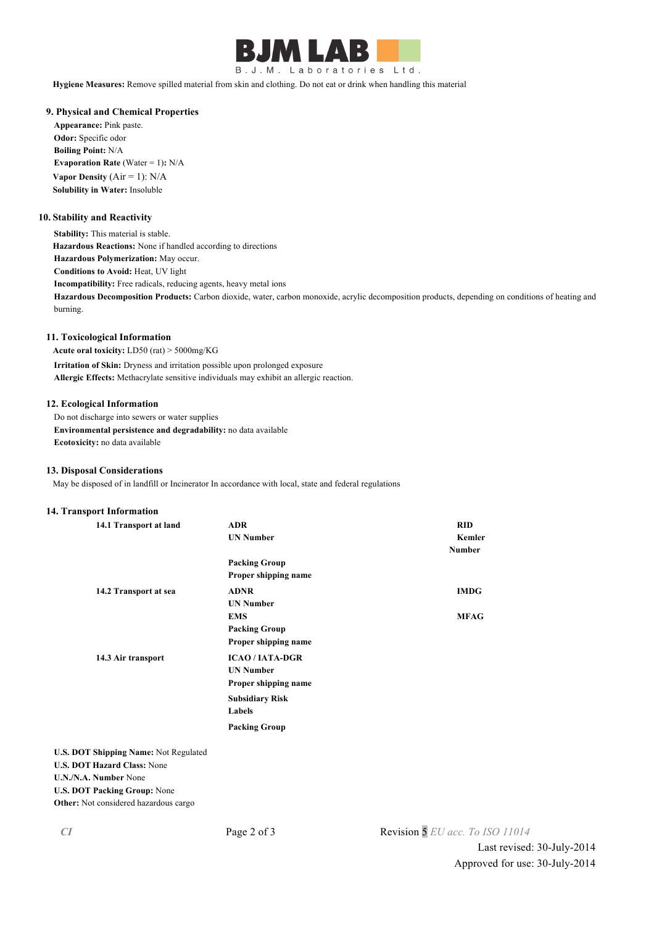

**Hygiene Measures:** Remove spilled material from skin and clothing. Do not eat or drink when handling this material

## **9. Physical and Chemical Properties**

**Appearance:** Pink paste. **Odor:** Specific odor **Boiling Point:** N/A **Evaporation Rate (Water = 1): N/A Vapor Density**  $(Air = 1)$ :  $N/A$ **Solubility in Water:** Insoluble

#### **10. Stability and Reactivity**

**Stability:** This material is stable. **Hazardous Reactions:** None if handled according to directions **Hazardous Polymerization:** May occur. **Conditions to Avoid:** Heat, UV light **Incompatibility:** Free radicals, reducing agents, heavy metal ions **Hazardous Decomposition Products:** Carbon dioxide, water, carbon monoxide, acrylic decomposition products, depending on conditions of heating and burning.

## **11. Toxicological Information**

**Acute oral toxicity:** LD50 (rat) > 5000mg/KG

**Irritation of Skin:** Dryness and irritation possible upon prolonged exposure **Allergic Effects:** Methacrylate sensitive individuals may exhibit an allergic reaction.

## **12. Ecological Information**

Do not discharge into sewers or water supplies **Environmental persistence and degradability:** no data available **Ecotoxicity:** no data available

#### **13. Disposal Considerations**

May be disposed of in landfill or Incinerator In accordance with local, state and federal regulations

## **14. Transport Information**

| 14.1 Transport at land                  | <b>ADR</b>             | <b>RID</b>    |
|-----------------------------------------|------------------------|---------------|
|                                         | <b>UN Number</b>       | Kemler        |
|                                         |                        | <b>Number</b> |
|                                         | <b>Packing Group</b>   |               |
|                                         | Proper shipping name   |               |
| 14.2 Transport at sea                   | <b>ADNR</b>            | <b>IMDG</b>   |
|                                         | <b>UN Number</b>       |               |
|                                         | <b>EMS</b>             | <b>MFAG</b>   |
|                                         | <b>Packing Group</b>   |               |
|                                         | Proper shipping name   |               |
| 14.3 Air transport                      | <b>ICAO/IATA-DGR</b>   |               |
|                                         | <b>UN Number</b>       |               |
|                                         | Proper shipping name   |               |
|                                         | <b>Subsidiary Risk</b> |               |
|                                         | Labels                 |               |
|                                         | <b>Packing Group</b>   |               |
| <b>DOT Shipping Name: Not Regulated</b> |                        |               |
| <b>DOT Hazard Class: None</b>           |                        |               |

**U.S. DOT Shipping Name:** Not Regulated **U.S. DOT Hazard Class:** None **U.N./N.A. Number** None **U.S. DOT Packing Group:** None **Other:** Not considered hazardous cargo

*CI* Page 2 of 3 Revision 5 *EU acc. To ISO 11014*

Last revised: 30-July-2014 Approved for use: 30-July-2014